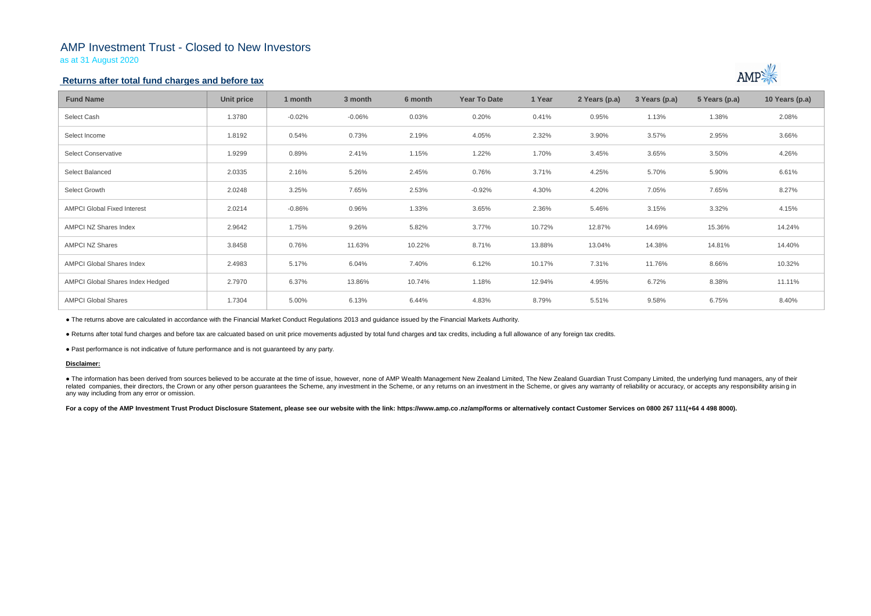## AMP Investment Trust - Closed to New Investors

as at 31 August 2020

## **Returns after total fund charges and before tax**

| <b>Fund Name</b>                   | <b>Unit price</b> | 1 month  | 3 month  | 6 month | <b>Year To Date</b> | 1 Year | 2 Years (p.a) | 3 Years (p.a) | 5 Years (p.a) | 10 Years (p.a) |
|------------------------------------|-------------------|----------|----------|---------|---------------------|--------|---------------|---------------|---------------|----------------|
| Select Cash                        | 1.3780            | $-0.02%$ | $-0.06%$ | 0.03%   | 0.20%               | 0.41%  | 0.95%         | 1.13%         | 1.38%         | 2.08%          |
| Select Income                      | 1.8192            | 0.54%    | 0.73%    | 2.19%   | 4.05%               | 2.32%  | 3.90%         | 3.57%         | 2.95%         | 3.66%          |
| <b>Select Conservative</b>         | 1.9299            | 0.89%    | 2.41%    | 1.15%   | 1.22%               | 1.70%  | 3.45%         | 3.65%         | 3.50%         | 4.26%          |
| Select Balanced                    | 2.0335            | 2.16%    | 5.26%    | 2.45%   | 0.76%               | 3.71%  | 4.25%         | 5.70%         | 5.90%         | 6.61%          |
| Select Growth                      | 2.0248            | 3.25%    | 7.65%    | 2.53%   | $-0.92%$            | 4.30%  | 4.20%         | 7.05%         | 7.65%         | 8.27%          |
| <b>AMPCI Global Fixed Interest</b> | 2.0214            | $-0.86%$ | 0.96%    | 1.33%   | 3.65%               | 2.36%  | 5.46%         | 3.15%         | 3.32%         | 4.15%          |
| AMPCI NZ Shares Index              | 2.9642            | 1.75%    | 9.26%    | 5.82%   | 3.77%               | 10.72% | 12.87%        | 14.69%        | 15.36%        | 14.24%         |
| <b>AMPCI NZ Shares</b>             | 3.8458            | 0.76%    | 11.63%   | 10.22%  | 8.71%               | 13.88% | 13.04%        | 14.38%        | 14.81%        | 14.40%         |
| <b>AMPCI Global Shares Index</b>   | 2.4983            | 5.17%    | 6.04%    | 7.40%   | 6.12%               | 10.17% | 7.31%         | 11.76%        | 8.66%         | 10.32%         |
| AMPCI Global Shares Index Hedged   | 2.7970            | 6.37%    | 13.86%   | 10.74%  | 1.18%               | 12.94% | 4.95%         | 6.72%         | 8.38%         | 11.11%         |
| <b>AMPCI Global Shares</b>         | 1.7304            | 5.00%    | 6.13%    | 6.44%   | 4.83%               | 8.79%  | 5.51%         | 9.58%         | 6.75%         | 8.40%          |

• The information has been derived from sources believed to be accurate at the time of issue, however, none of AMP Wealth Management New Zealand Limited, The New Zealand Guardian Trust Company Limited, the underlying fund related companies, their directors, the Crown or any other person quarantees the Scheme, any investment in the Scheme, or any returns on an investment in the Scheme, or gives any warranty of reliability or accuracy, or acc any way including from any error or omission.

For a copy of the AMP Investment Trust Product Disclosure Statement, please see our website with the link: https://www.amp.co.nz/amp/forms or alternatively contact Customer Services on 0800 267 111(+64 4 498 8000).



● The returns above are calculated in accordance with the Financial Market Conduct Regulations 2013 and guidance issued by the Financial Markets Authority.

● Returns after total fund charges and before tax are calcuated based on unit price movements adjusted by total fund charges and tax credits, including a full allowance of any foreign tax credits.

● Past performance is not indicative of future performance and is not guaranteed by any party.

### **Disclaimer:**